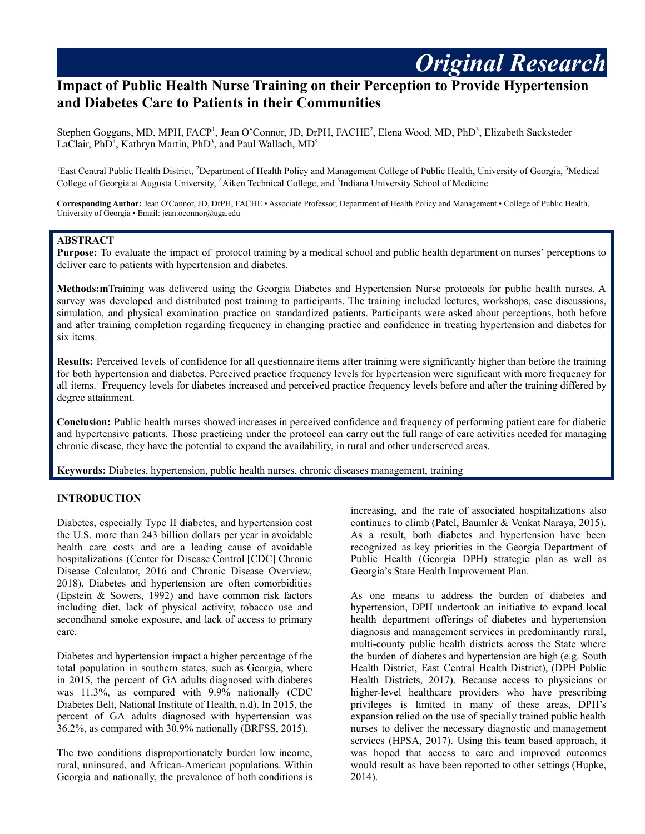# **Impact of Public Health Nurse Training on their Perception to Provide Hypertension and Diabetes Care to Patients in their Communities**

Stephen Goggans, MD, MPH, FACP<sup>1</sup>, Jean O'Connor, JD, DrPH, FACHE<sup>2</sup>, Elena Wood, MD, PhD<sup>3</sup>, Elizabeth Sacksteder LaClair, PhD<sup>4</sup>, Kathryn Martin, PhD<sup>3</sup>, and Paul Wallach, MD<sup>5</sup>

<sup>1</sup>East Central Public Health District, <sup>2</sup>Department of Health Policy and Management College of Public Health, University of Georgia, <sup>3</sup>Medical College of Georgia at Augusta University, <sup>4</sup>Aiken Technical College, and <sup>5</sup>Indiana University School of Medicine

**Corresponding Author:** Jean O'Connor, JD, DrPH, FACHE • Associate Professor, Department of Health Policy and Management • College of Public Health, University of Georgia • Email: jean.oconnor@uga.edu

#### **ABSTRACT**

**Purpose:** To evaluate the impact of protocol training by a medical school and public health department on nurses' perceptions to deliver care to patients with hypertension and diabetes.

**Methods:m**Training was delivered using the Georgia Diabetes and Hypertension Nurse protocols for public health nurses. A survey was developed and distributed post training to participants. The training included lectures, workshops, case discussions, simulation, and physical examination practice on standardized patients. Participants were asked about perceptions, both before and after training completion regarding frequency in changing practice and confidence in treating hypertension and diabetes for six items.

**Results:** Perceived levels of confidence for all questionnaire items after training were significantly higher than before the training for both hypertension and diabetes. Perceived practice frequency levels for hypertension were significant with more frequency for all items. Frequency levels for diabetes increased and perceived practice frequency levels before and after the training differed by degree attainment.

**Conclusion:** Public health nurses showed increases in perceived confidence and frequency of performing patient care for diabetic and hypertensive patients. Those practicing under the protocol can carry out the full range of care activities needed for managing chronic disease, they have the potential to expand the availability, in rural and other underserved areas.

**Keywords:** Diabetes, hypertension, public health nurses, chronic diseases management, training

# **INTRODUCTION**

Diabetes, especially Type II diabetes, and hypertension cost the U.S. more than 243 billion dollars per year in avoidable health care costs and are a leading cause of avoidable hospitalizations (Center for Disease Control [CDC] Chronic Disease Calculator, 2016 and Chronic Disease Overview, 2018). Diabetes and hypertension are often comorbidities (Epstein & Sowers, 1992) and have common risk factors including diet, lack of physical activity, tobacco use and secondhand smoke exposure, and lack of access to primary care.

Diabetes and hypertension impact a higher percentage of the total population in southern states, such as Georgia, where in 2015, the percent of GA adults diagnosed with diabetes was 11.3%, as compared with 9.9% nationally (CDC Diabetes Belt, National Institute of Health, n.d). In 2015, the percent of GA adults diagnosed with hypertension was 36.2%, as compared with 30.9% nationally (BRFSS, 2015).

The two conditions disproportionately burden low income, rural, uninsured, and African-American populations. Within Georgia and nationally, the prevalence of both conditions is increasing, and the rate of associated hospitalizations also continues to climb (Patel, Baumler & Venkat Naraya, 2015). As a result, both diabetes and hypertension have been recognized as key priorities in the Georgia Department of Public Health (Georgia DPH) strategic plan as well as Georgia's State Health Improvement Plan.

*Original Research*

As one means to address the burden of diabetes and hypertension, DPH undertook an initiative to expand local health department offerings of diabetes and hypertension diagnosis and management services in predominantly rural, multi-county public health districts across the State where the burden of diabetes and hypertension are high (e.g. South Health District, East Central Health District), (DPH Public Health Districts, 2017). Because access to physicians or higher-level healthcare providers who have prescribing privileges is limited in many of these areas, DPH's expansion relied on the use of specially trained public health nurses to deliver the necessary diagnostic and management services (HPSA, 2017). Using this team based approach, it was hoped that access to care and improved outcomes would result as have been reported to other settings (Hupke, 2014).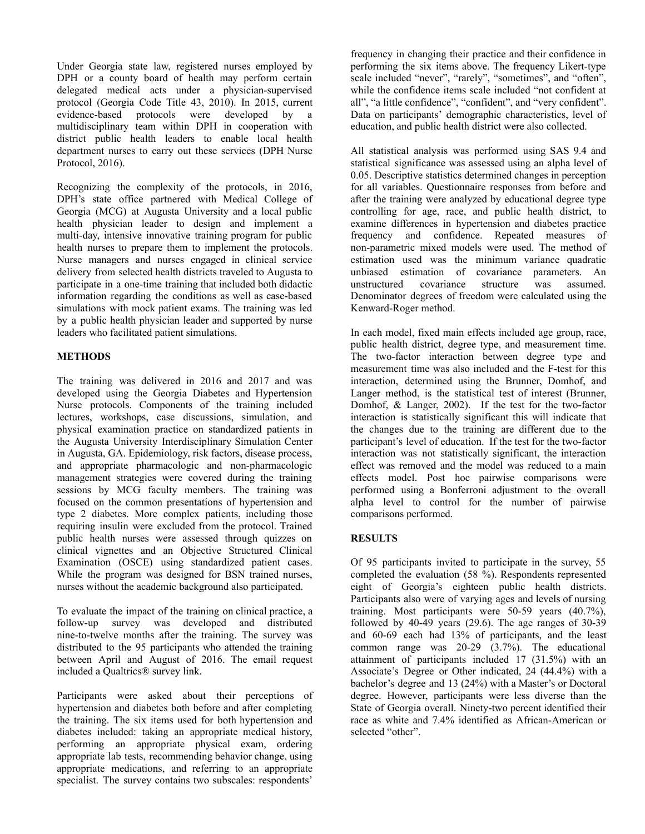Under Georgia state law, registered nurses employed by DPH or a county board of health may perform certain delegated medical acts under a physician-supervised protocol (Georgia Code Title 43, 2010). In 2015, current evidence-based protocols were developed by a multidisciplinary team within DPH in cooperation with district public health leaders to enable local health department nurses to carry out these services (DPH Nurse Protocol, 2016).

Recognizing the complexity of the protocols, in 2016, DPH's state office partnered with Medical College of Georgia (MCG) at Augusta University and a local public health physician leader to design and implement a multi-day, intensive innovative training program for public health nurses to prepare them to implement the protocols. Nurse managers and nurses engaged in clinical service delivery from selected health districts traveled to Augusta to participate in a one-time training that included both didactic information regarding the conditions as well as case-based simulations with mock patient exams. The training was led by a public health physician leader and supported by nurse leaders who facilitated patient simulations.

# **METHODS**

The training was delivered in 2016 and 2017 and was developed using the Georgia Diabetes and Hypertension Nurse protocols. Components of the training included lectures, workshops, case discussions, simulation, and physical examination practice on standardized patients in the Augusta University Interdisciplinary Simulation Center in Augusta, GA. Epidemiology, risk factors, disease process, and appropriate pharmacologic and non-pharmacologic management strategies were covered during the training sessions by MCG faculty members. The training was focused on the common presentations of hypertension and type 2 diabetes. More complex patients, including those requiring insulin were excluded from the protocol. Trained public health nurses were assessed through quizzes on clinical vignettes and an Objective Structured Clinical Examination (OSCE) using standardized patient cases. While the program was designed for BSN trained nurses, nurses without the academic background also participated.

To evaluate the impact of the training on clinical practice, a follow-up survey was developed and distributed nine-to-twelve months after the training. The survey was distributed to the 95 participants who attended the training between April and August of 2016. The email request included a Qualtrics® survey link.

Participants were asked about their perceptions of hypertension and diabetes both before and after completing the training. The six items used for both hypertension and diabetes included: taking an appropriate medical history, performing an appropriate physical exam, ordering appropriate lab tests, recommending behavior change, using appropriate medications, and referring to an appropriate specialist. The survey contains two subscales: respondents'

frequency in changing their practice and their confidence in performing the six items above. The frequency Likert-type scale included "never", "rarely", "sometimes", and "often", while the confidence items scale included "not confident at all", "a little confidence", "confident", and "very confident". Data on participants' demographic characteristics, level of education, and public health district were also collected.

All statistical analysis was performed using SAS 9.4 and statistical significance was assessed using an alpha level of 0.05. Descriptive statistics determined changes in perception for all variables. Questionnaire responses from before and after the training were analyzed by educational degree type controlling for age, race, and public health district, to examine differences in hypertension and diabetes practice frequency and confidence. Repeated measures of non-parametric mixed models were used. The method of estimation used was the minimum variance quadratic unbiased estimation of covariance parameters. An unstructured covariance structure was assumed. Denominator degrees of freedom were calculated using the Kenward-Roger method.

In each model, fixed main effects included age group, race, public health district, degree type, and measurement time. The two-factor interaction between degree type and measurement time was also included and the F-test for this interaction, determined using the Brunner, Domhof, and Langer method, is the statistical test of interest (Brunner, Domhof, & Langer, 2002). If the test for the two-factor interaction is statistically significant this will indicate that the changes due to the training are different due to the participant's level of education. If the test for the two-factor interaction was not statistically significant, the interaction effect was removed and the model was reduced to a main effects model. Post hoc pairwise comparisons were performed using a Bonferroni adjustment to the overall alpha level to control for the number of pairwise comparisons performed.

# **RESULTS**

Of 95 participants invited to participate in the survey, 55 completed the evaluation (58 %). Respondents represented eight of Georgia's eighteen public health districts. Participants also were of varying ages and levels of nursing training. Most participants were 50-59 years (40.7%), followed by 40-49 years (29.6). The age ranges of 30-39 and 60-69 each had 13% of participants, and the least common range was 20-29 (3.7%). The educational attainment of participants included 17 (31.5%) with an Associate's Degree or Other indicated, 24 (44.4%) with a bachelor's degree and 13 (24%) with a Master's or Doctoral degree. However, participants were less diverse than the State of Georgia overall. Ninety-two percent identified their race as white and 7.4% identified as African-American or selected "other".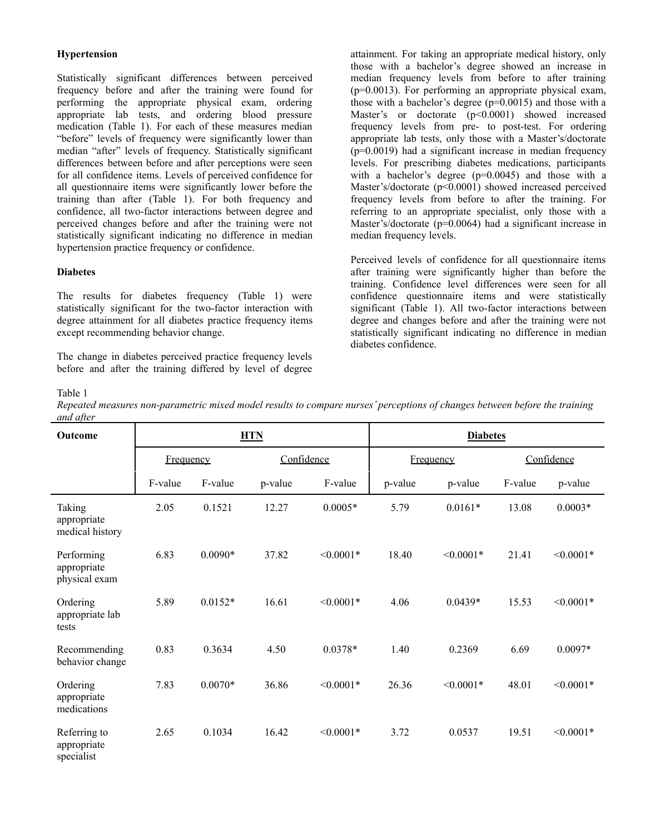# **Hypertension**

Statistically significant differences between perceived frequency before and after the training were found for performing the appropriate physical exam, ordering appropriate lab tests, and ordering blood pressure medication (Table 1). For each of these measures median "before" levels of frequency were significantly lower than median "after" levels of frequency. Statistically significant differences between before and after perceptions were seen for all confidence items. Levels of perceived confidence for all questionnaire items were significantly lower before the training than after (Table 1). For both frequency and confidence, all two-factor interactions between degree and perceived changes before and after the training were not statistically significant indicating no difference in median hypertension practice frequency or confidence.

## **Diabetes**

The results for diabetes frequency (Table 1) were statistically significant for the two-factor interaction with degree attainment for all diabetes practice frequency items except recommending behavior change.

The change in diabetes perceived practice frequency levels before and after the training differed by level of degree attainment. For taking an appropriate medical history, only those with a bachelor's degree showed an increase in median frequency levels from before to after training (p=0.0013). For performing an appropriate physical exam, those with a bachelor's degree (p=0.0015) and those with a Master's or doctorate (p<0.0001) showed increased frequency levels from pre- to post-test. For ordering appropriate lab tests, only those with a Master's/doctorate (p=0.0019) had a significant increase in median frequency levels. For prescribing diabetes medications, participants with a bachelor's degree  $(p=0.0045)$  and those with a Master's/doctorate (p<0.0001) showed increased perceived frequency levels from before to after the training. For referring to an appropriate specialist, only those with a Master's/doctorate (p=0.0064) had a significant increase in median frequency levels.

Perceived levels of confidence for all questionnaire items after training were significantly higher than before the training. Confidence level differences were seen for all confidence questionnaire items and were statistically significant (Table 1). All two-factor interactions between degree and changes before and after the training were not statistically significant indicating no difference in median diabetes confidence.

### Table 1

Repeated measures non-parametric mixed model results to compare nurses' perceptions of changes between before the training *and after*

| Outcome                                    | <b>HTN</b> |           |            |             | <b>Diabetes</b> |             |            |             |
|--------------------------------------------|------------|-----------|------------|-------------|-----------------|-------------|------------|-------------|
|                                            | Frequency  |           | Confidence |             | Frequency       |             | Confidence |             |
|                                            | F-value    | F-value   | p-value    | F-value     | p-value         | p-value     | F-value    | p-value     |
| Taking<br>appropriate<br>medical history   | 2.05       | 0.1521    | 12.27      | $0.0005*$   | 5.79            | $0.0161*$   | 13.08      | $0.0003*$   |
| Performing<br>appropriate<br>physical exam | 6.83       | $0.0090*$ | 37.82      | $< 0.0001*$ | 18.40           | $< 0.0001*$ | 21.41      | $< 0.0001*$ |
| Ordering<br>appropriate lab<br>tests       | 5.89       | $0.0152*$ | 16.61      | $< 0.0001*$ | 4.06            | $0.0439*$   | 15.53      | $< 0.0001*$ |
| Recommending<br>behavior change            | 0.83       | 0.3634    | 4.50       | $0.0378*$   | 1.40            | 0.2369      | 6.69       | $0.0097*$   |
| Ordering<br>appropriate<br>medications     | 7.83       | $0.0070*$ | 36.86      | $< 0.0001*$ | 26.36           | $< 0.0001*$ | 48.01      | $< 0.0001*$ |
| Referring to<br>appropriate<br>specialist  | 2.65       | 0.1034    | 16.42      | $< 0.0001*$ | 3.72            | 0.0537      | 19.51      | $< 0.0001*$ |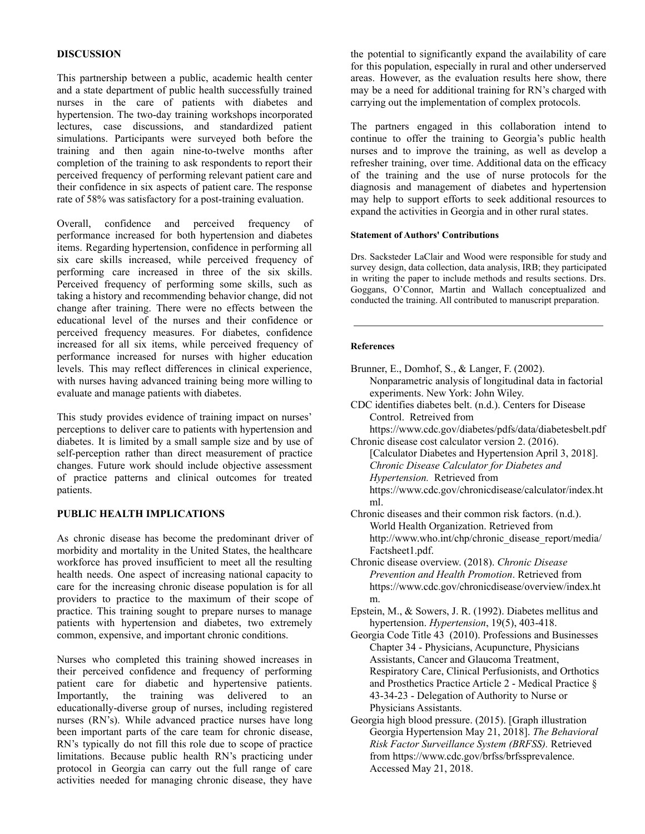## **DISCUSSION**

This partnership between a public, academic health center and a state department of public health successfully trained nurses in the care of patients with diabetes and hypertension. The two-day training workshops incorporated lectures, case discussions, and standardized patient simulations. Participants were surveyed both before the training and then again nine-to-twelve months after completion of the training to ask respondents to report their perceived frequency of performing relevant patient care and their confidence in six aspects of patient care. The response rate of 58% was satisfactory for a post-training evaluation.

Overall, confidence and perceived frequency of performance increased for both hypertension and diabetes items. Regarding hypertension, confidence in performing all six care skills increased, while perceived frequency of performing care increased in three of the six skills. Perceived frequency of performing some skills, such as taking a history and recommending behavior change, did not change after training. There were no effects between the educational level of the nurses and their confidence or perceived frequency measures. For diabetes, confidence increased for all six items, while perceived frequency of performance increased for nurses with higher education levels. This may reflect differences in clinical experience, with nurses having advanced training being more willing to evaluate and manage patients with diabetes.

This study provides evidence of training impact on nurses' perceptions to deliver care to patients with hypertension and diabetes. It is limited by a small sample size and by use of self-perception rather than direct measurement of practice changes. Future work should include objective assessment of practice patterns and clinical outcomes for treated patients.

#### **PUBLIC HEALTH IMPLICATIONS**

As chronic disease has become the predominant driver of morbidity and mortality in the United States, the healthcare workforce has proved insufficient to meet all the resulting health needs. One aspect of increasing national capacity to care for the increasing chronic disease population is for all providers to practice to the maximum of their scope of practice. This training sought to prepare nurses to manage patients with hypertension and diabetes, two extremely common, expensive, and important chronic conditions.

Nurses who completed this training showed increases in their perceived confidence and frequency of performing patient care for diabetic and hypertensive patients. Importantly, the training was delivered to an educationally-diverse group of nurses, including registered nurses (RN's). While advanced practice nurses have long been important parts of the care team for chronic disease, RN's typically do not fill this role due to scope of practice limitations. Because public health RN's practicing under protocol in Georgia can carry out the full range of care activities needed for managing chronic disease, they have

the potential to significantly expand the availability of care for this population, especially in rural and other underserved areas. However, as the evaluation results here show, there may be a need for additional training for RN's charged with carrying out the implementation of complex protocols.

The partners engaged in this collaboration intend to continue to offer the training to Georgia's public health nurses and to improve the training, as well as develop a refresher training, over time. Additional data on the efficacy of the training and the use of nurse protocols for the diagnosis and management of diabetes and hypertension may help to support efforts to seek additional resources to expand the activities in Georgia and in other rural states.

#### **Statement of Authors' Contributions**

Drs. Sacksteder LaClair and Wood were responsible for study and survey design, data collection, data analysis, IRB; they participated in writing the paper to include methods and results sections. Drs. Goggans, O'Connor, Martin and Wallach conceptualized and conducted the training. All contributed to manuscript preparation.

#### **References**

| Brunner, E., Domhof, S., & Langer, F. (2002).            |
|----------------------------------------------------------|
| Nonparametric analysis of longitudinal data in factorial |
| experiments. New York: John Wiley.                       |
| $\sim$ $\sim$ $\sim$                                     |

CDC identifies diabetes belt. (n.d.). Centers for Disease Control. Retreived from https://www.cdc.gov/diabetes/pdfs/data/diabetesbelt.pdf

Chronic disease cost calculator version 2. (2016). [Calculator Diabetes and Hypertension April 3, 2018]. *Chronic Disease Calculator for Diabetes and Hypertension.* Retrieved from https://www.cdc.gov/chronicdisease/calculator/index.ht ml.

Chronic diseases and their common risk factors. (n.d.). World Health Organization. Retrieved from http://www.who.int/chp/chronic\_disease\_report/media/ Factsheet1.pdf.

- Chronic disease overview. (2018). *Chronic Disease Prevention and Health Promotion*. Retrieved from https://www.cdc.gov/chronicdisease/overview/index.ht m.
- Epstein, M., & Sowers, J. R. (1992). Diabetes mellitus and hypertension. *Hypertension*, 19(5), 403-418.
- Georgia Code Title 43 (2010). Professions and Businesses Chapter 34 - Physicians, Acupuncture, Physicians Assistants, Cancer and Glaucoma Treatment, Respiratory Care, Clinical Perfusionists, and Orthotics and Prosthetics Practice Article 2 - Medical Practice § 43-34-23 - Delegation of Authority to Nurse or Physicians Assistants.

Georgia high blood pressure. (2015). [Graph illustration Georgia Hypertension May 21, 2018]. *The Behavioral Risk Factor Surveillance System (BRFSS).* Retrieved from https://www.cdc.gov/brfss/brfssprevalence. Accessed May 21, 2018.